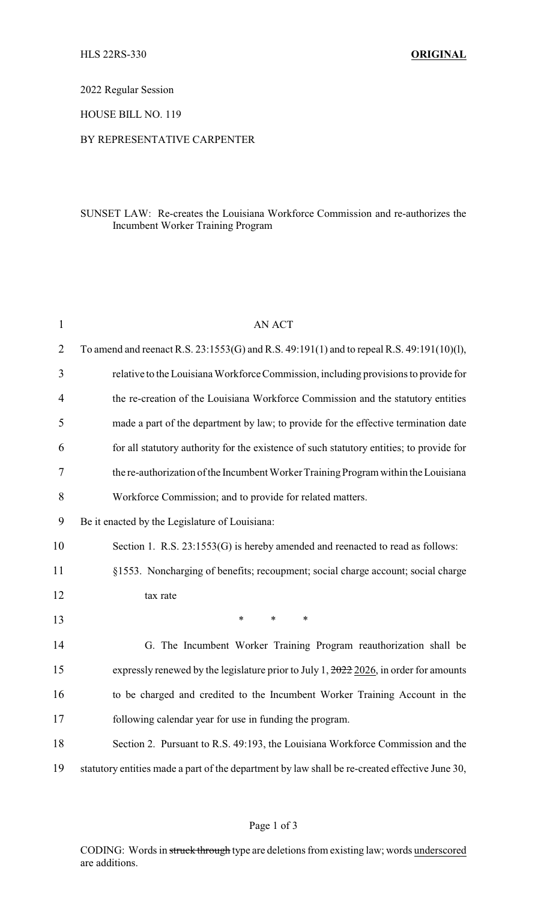2022 Regular Session

HOUSE BILL NO. 119

### BY REPRESENTATIVE CARPENTER

## SUNSET LAW: Re-creates the Louisiana Workforce Commission and re-authorizes the Incumbent Worker Training Program

| 1              | <b>AN ACT</b>                                                                                    |  |  |
|----------------|--------------------------------------------------------------------------------------------------|--|--|
| $\overline{2}$ | To amend and reenact R.S. 23:1553(G) and R.S. 49:191(1) and to repeal R.S. 49:191(10)(1),        |  |  |
| 3              | relative to the Louisiana Workforce Commission, including provisions to provide for              |  |  |
| $\overline{4}$ | the re-creation of the Louisiana Workforce Commission and the statutory entities                 |  |  |
| 5              | made a part of the department by law; to provide for the effective termination date              |  |  |
| 6              | for all statutory authority for the existence of such statutory entities; to provide for         |  |  |
| 7              | the re-authorization of the Incumbent Worker Training Program within the Louisiana               |  |  |
| 8              | Workforce Commission; and to provide for related matters.                                        |  |  |
| 9              | Be it enacted by the Legislature of Louisiana:                                                   |  |  |
| 10             | Section 1. R.S. 23:1553(G) is hereby amended and reenacted to read as follows:                   |  |  |
| 11             | §1553. Noncharging of benefits; recoupment; social charge account; social charge                 |  |  |
| 12             | tax rate                                                                                         |  |  |
| 13             | $\ast$<br>$\ast$<br>$\ast$                                                                       |  |  |
| 14             | G. The Incumbent Worker Training Program reauthorization shall be                                |  |  |
| 15             | expressly renewed by the legislature prior to July 1, $\frac{2022}{2026}$ , in order for amounts |  |  |
| 16             | to be charged and credited to the Incumbent Worker Training Account in the                       |  |  |
| 17             | following calendar year for use in funding the program.                                          |  |  |
| 18             | Section 2. Pursuant to R.S. 49:193, the Louisiana Workforce Commission and the                   |  |  |
| 19             | statutory entities made a part of the department by law shall be re-created effective June 30,   |  |  |

## Page 1 of 3

CODING: Words in struck through type are deletions from existing law; words underscored are additions.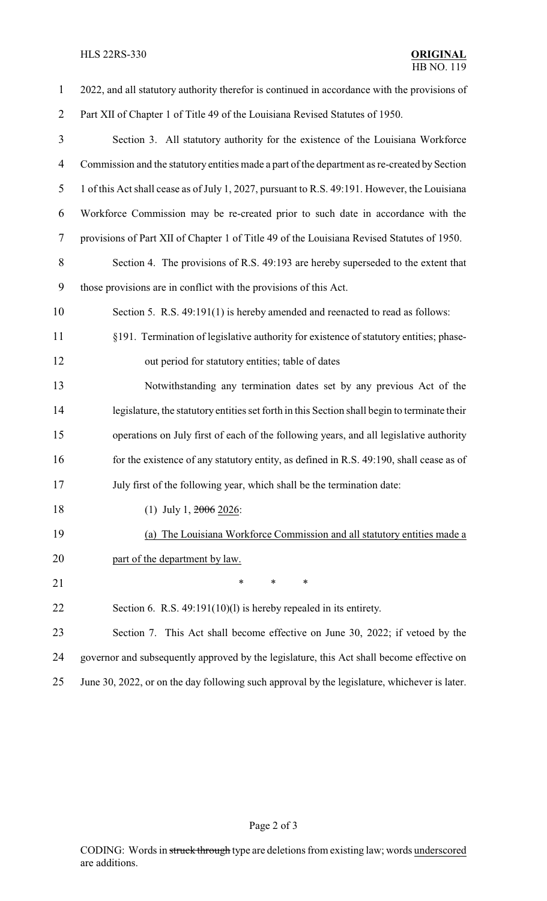# HLS 22RS-330 **ORIGINAL**

| $\mathbf{1}$   | 2022, and all statutory authority therefor is continued in accordance with the provisions of  |  |  |
|----------------|-----------------------------------------------------------------------------------------------|--|--|
| $\overline{2}$ | Part XII of Chapter 1 of Title 49 of the Louisiana Revised Statutes of 1950.                  |  |  |
| $\mathfrak{Z}$ | Section 3. All statutory authority for the existence of the Louisiana Workforce               |  |  |
| $\overline{4}$ | Commission and the statutory entities made a part of the department as re-created by Section  |  |  |
| 5              | 1 of this Act shall cease as of July 1, 2027, pursuant to R.S. 49:191. However, the Louisiana |  |  |
| 6              | Workforce Commission may be re-created prior to such date in accordance with the              |  |  |
| 7              | provisions of Part XII of Chapter 1 of Title 49 of the Louisiana Revised Statutes of 1950.    |  |  |
| $8\,$          | Section 4. The provisions of R.S. 49:193 are hereby superseded to the extent that             |  |  |
| 9              | those provisions are in conflict with the provisions of this Act.                             |  |  |
| 10             | Section 5. R.S. 49:191(1) is hereby amended and reenacted to read as follows:                 |  |  |
| 11             | §191. Termination of legislative authority for existence of statutory entities; phase-        |  |  |
| 12             | out period for statutory entities; table of dates                                             |  |  |
| 13             | Notwithstanding any termination dates set by any previous Act of the                          |  |  |
| 14             | legislature, the statutory entities set forth in this Section shall begin to terminate their  |  |  |
| 15             | operations on July first of each of the following years, and all legislative authority        |  |  |
| 16             | for the existence of any statutory entity, as defined in R.S. 49:190, shall cease as of       |  |  |
| 17             | July first of the following year, which shall be the termination date:                        |  |  |
| 18             | (1) July 1, $2006$ 2026:                                                                      |  |  |
| 19             | (a) The Louisiana Workforce Commission and all statutory entities made a                      |  |  |
| 20             | part of the department by law.                                                                |  |  |
| 21             | ∗<br>*<br>∗                                                                                   |  |  |
| 22             | Section 6. R.S. $49:191(10)(1)$ is hereby repealed in its entirety.                           |  |  |
| 23             | Section 7. This Act shall become effective on June 30, 2022; if vetoed by the                 |  |  |
| 24             | governor and subsequently approved by the legislature, this Act shall become effective on     |  |  |
| 25             | June 30, 2022, or on the day following such approval by the legislature, whichever is later.  |  |  |

# Page 2 of 3